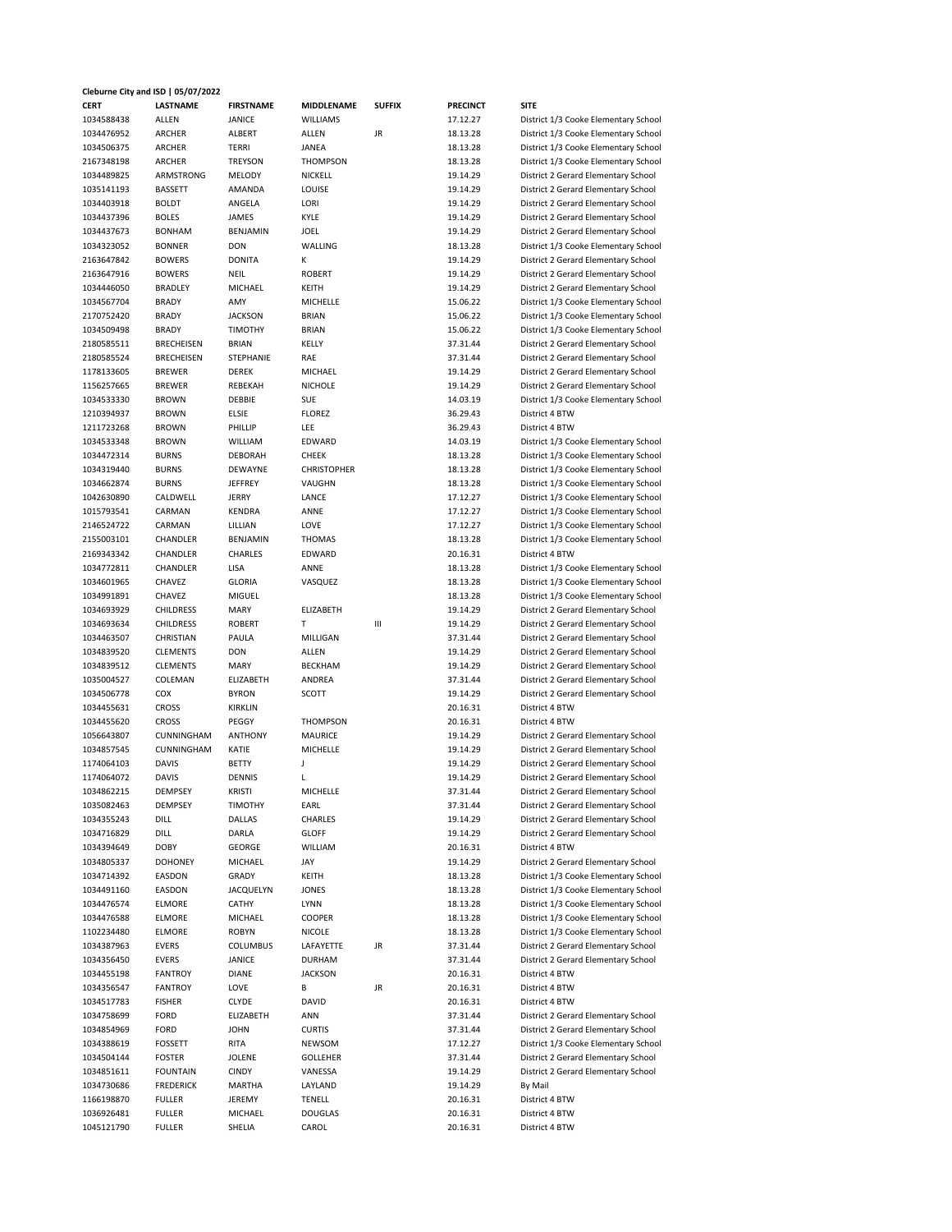## **Cleburne City and ISD | 05/07/2022**

| <b>CERT</b> | <b>LASTNAME</b>   | <b>FIRSTNAME</b> | MIDDLENAME         | <b>SUFFIX</b> | <b>PRECINCT</b> | <b>SITE</b>                          |
|-------------|-------------------|------------------|--------------------|---------------|-----------------|--------------------------------------|
| 1034588438  | ALLEN             | JANICE           | <b>WILLIAMS</b>    |               | 17.12.27        | District 1/3 Cooke Elementary School |
| 1034476952  | ARCHER            | ALBERT           | ALLEN              | JR            | 18.13.28        | District 1/3 Cooke Elementary School |
| 1034506375  | ARCHER            | TERRI            | JANEA              |               | 18.13.28        | District 1/3 Cooke Elementary School |
| 2167348198  | ARCHER            | <b>TREYSON</b>   | <b>THOMPSON</b>    |               | 18.13.28        | District 1/3 Cooke Elementary School |
| 1034489825  | ARMSTRONG         | MELODY           | NICKELL            |               | 19.14.29        | District 2 Gerard Elementary School  |
| 1035141193  | <b>BASSETT</b>    | AMANDA           | LOUISE             |               | 19.14.29        | District 2 Gerard Elementary School  |
|             |                   | ANGELA           |                    |               |                 |                                      |
| 1034403918  | <b>BOLDT</b>      |                  | LORI               |               | 19.14.29        | District 2 Gerard Elementary School  |
| 1034437396  | <b>BOLES</b>      | JAMES            | KYLE               |               | 19.14.29        | District 2 Gerard Elementary School  |
| 1034437673  | <b>BONHAM</b>     | BENJAMIN         | JOEL               |               | 19.14.29        | District 2 Gerard Elementary School  |
| 1034323052  | <b>BONNER</b>     | <b>DON</b>       | WALLING            |               | 18.13.28        | District 1/3 Cooke Elementary School |
| 2163647842  | <b>BOWERS</b>     | <b>DONITA</b>    | к                  |               | 19.14.29        | District 2 Gerard Elementary School  |
| 2163647916  | <b>BOWERS</b>     | <b>NEIL</b>      | <b>ROBERT</b>      |               | 19.14.29        | District 2 Gerard Elementary School  |
| 1034446050  | <b>BRADLEY</b>    | MICHAEL          | KEITH              |               | 19.14.29        | District 2 Gerard Elementary School  |
| 1034567704  | <b>BRADY</b>      | AMY              | MICHELLE           |               | 15.06.22        | District 1/3 Cooke Elementary School |
| 2170752420  | <b>BRADY</b>      | <b>JACKSON</b>   | <b>BRIAN</b>       |               | 15.06.22        | District 1/3 Cooke Elementary School |
| 1034509498  | <b>BRADY</b>      | <b>TIMOTHY</b>   | <b>BRIAN</b>       |               | 15.06.22        | District 1/3 Cooke Elementary School |
| 2180585511  | <b>BRECHEISEN</b> | <b>BRIAN</b>     | KELLY              |               | 37.31.44        | District 2 Gerard Elementary School  |
| 2180585524  | <b>BRECHEISEN</b> | STEPHANIE        | RAE                |               | 37.31.44        | District 2 Gerard Elementary School  |
| 1178133605  | <b>BREWER</b>     | DEREK            | MICHAEL            |               | 19.14.29        | District 2 Gerard Elementary School  |
| 1156257665  | <b>BREWER</b>     | REBEKAH          | <b>NICHOLE</b>     |               | 19.14.29        | District 2 Gerard Elementary School  |
| 1034533330  | <b>BROWN</b>      | DEBBIE           | SUE                |               | 14.03.19        | District 1/3 Cooke Elementary School |
| 1210394937  | <b>BROWN</b>      | <b>ELSIE</b>     | <b>FLOREZ</b>      |               | 36.29.43        | District 4 BTW                       |
| 1211723268  | <b>BROWN</b>      | PHILLIP          | <b>LEE</b>         |               | 36.29.43        | District 4 BTW                       |
| 1034533348  | <b>BROWN</b>      | WILLIAM          | EDWARD             |               | 14.03.19        | District 1/3 Cooke Elementary School |
| 1034472314  | <b>BURNS</b>      | <b>DEBORAH</b>   | <b>CHEEK</b>       |               | 18.13.28        | District 1/3 Cooke Elementary School |
|             | <b>BURNS</b>      | DEWAYNE          |                    |               |                 |                                      |
| 1034319440  |                   |                  | <b>CHRISTOPHER</b> |               | 18.13.28        | District 1/3 Cooke Elementary School |
| 1034662874  | <b>BURNS</b>      | JEFFREY          | VAUGHN             |               | 18.13.28        | District 1/3 Cooke Elementary School |
| 1042630890  | CALDWELL          | JERRY            | LANCE              |               | 17.12.27        | District 1/3 Cooke Elementary School |
| 1015793541  | CARMAN            | <b>KENDRA</b>    | ANNE               |               | 17.12.27        | District 1/3 Cooke Elementary School |
| 2146524722  | CARMAN            | LILLIAN          | LOVE               |               | 17.12.27        | District 1/3 Cooke Elementary School |
| 2155003101  | CHANDLER          | BENJAMIN         | <b>THOMAS</b>      |               | 18.13.28        | District 1/3 Cooke Elementary School |
| 2169343342  | CHANDLER          | CHARLES          | EDWARD             |               | 20.16.31        | District 4 BTW                       |
| 1034772811  | CHANDLER          | LISA             | ANNE               |               | 18.13.28        | District 1/3 Cooke Elementary School |
| 1034601965  | CHAVEZ            | <b>GLORIA</b>    | VASQUEZ            |               | 18.13.28        | District 1/3 Cooke Elementary School |
| 1034991891  | CHAVEZ            | MIGUEL           |                    |               | 18.13.28        | District 1/3 Cooke Elementary School |
| 1034693929  | <b>CHILDRESS</b>  | <b>MARY</b>      | ELIZABETH          |               | 19.14.29        | District 2 Gerard Elementary School  |
| 1034693634  | <b>CHILDRESS</b>  | <b>ROBERT</b>    | т                  | Ш             | 19.14.29        | District 2 Gerard Elementary School  |
| 1034463507  | CHRISTIAN         | PAULA            | MILLIGAN           |               | 37.31.44        | District 2 Gerard Elementary School  |
| 1034839520  | <b>CLEMENTS</b>   | <b>DON</b>       | ALLEN              |               | 19.14.29        | District 2 Gerard Elementary School  |
| 1034839512  | <b>CLEMENTS</b>   | <b>MARY</b>      | <b>BECKHAM</b>     |               | 19.14.29        | District 2 Gerard Elementary School  |
| 1035004527  | COLEMAN           | ELIZABETH        | ANDREA             |               | 37.31.44        | District 2 Gerard Elementary School  |
| 1034506778  | COX               | <b>BYRON</b>     | SCOTT              |               | 19.14.29        | District 2 Gerard Elementary School  |
| 1034455631  | <b>CROSS</b>      | KIRKLIN          |                    |               | 20.16.31        | District 4 BTW                       |
|             |                   |                  |                    |               |                 |                                      |
| 1034455620  | <b>CROSS</b>      | PEGGY            | <b>THOMPSON</b>    |               | 20.16.31        | District 4 BTW                       |
| 1056643807  | CUNNINGHAM        | <b>ANTHONY</b>   | MAURICE            |               | 19.14.29        | District 2 Gerard Elementary School  |
| 1034857545  | CUNNINGHAM        | KATIE            | MICHELLE           |               | 19.14.29        | District 2 Gerard Elementary School  |
| 1174064103  | <b>DAVIS</b>      | <b>BETTY</b>     | J                  |               | 19.14.29        | District 2 Gerard Elementary School  |
| 1174064072  | <b>DAVIS</b>      | DENNIS           | L                  |               | 19.14.29        | District 2 Gerard Elementary School  |
| 1034862215  | DEMPSEY           | <b>KRISTI</b>    | MICHELLE           |               | 37.31.44        | District 2 Gerard Elementary School  |
| 1035082463  | DEMPSEY           | <b>TIMOTHY</b>   | EARL               |               | 37.31.44        | District 2 Gerard Elementary School  |
| 1034355243  | DILL              | DALLAS           | CHARLES            |               | 19.14.29        | District 2 Gerard Elementary School  |
| 1034716829  | DILL              | DARLA            | <b>GLOFF</b>       |               | 19.14.29        | District 2 Gerard Elementary School  |
| 1034394649  | <b>DOBY</b>       | GEORGE           | WILLIAM            |               | 20.16.31        | District 4 BTW                       |
| 1034805337  | <b>DOHONEY</b>    | MICHAEL          | JAY                |               | 19.14.29        | District 2 Gerard Elementary School  |
| 1034714392  | EASDON            | GRADY            | KEITH              |               | 18.13.28        | District 1/3 Cooke Elementary School |
| 1034491160  | EASDON            | JACQUELYN        | JONES              |               | 18.13.28        | District 1/3 Cooke Elementary School |
| 1034476574  | ELMORE            | CATHY            | <b>LYNN</b>        |               | 18.13.28        | District 1/3 Cooke Elementary School |
| 1034476588  | ELMORE            | MICHAEL          | COOPER             |               | 18.13.28        | District 1/3 Cooke Elementary School |
| 1102234480  | <b>ELMORE</b>     | <b>ROBYN</b>     | NICOLE             |               | 18.13.28        | District 1/3 Cooke Elementary School |
| 1034387963  | EVERS             | COLUMBUS         | LAFAYETTE          | JR            | 37.31.44        | District 2 Gerard Elementary School  |
| 1034356450  | EVERS             | JANICE           | <b>DURHAM</b>      |               | 37.31.44        | District 2 Gerard Elementary School  |
|             |                   | <b>DIANE</b>     | <b>JACKSON</b>     |               |                 |                                      |
| 1034455198  | <b>FANTROY</b>    |                  |                    |               | 20.16.31        | District 4 BTW                       |
| 1034356547  | <b>FANTROY</b>    | LOVE             | В                  | JR            | 20.16.31        | District 4 BTW                       |
| 1034517783  | <b>FISHER</b>     | <b>CLYDE</b>     | DAVID              |               | 20.16.31        | District 4 BTW                       |
| 1034758699  | FORD              | ELIZABETH        | ANN                |               | 37.31.44        | District 2 Gerard Elementary School  |
| 1034854969  | FORD              | <b>JOHN</b>      | <b>CURTIS</b>      |               | 37.31.44        | District 2 Gerard Elementary School  |
| 1034388619  | FOSSETT           | RITA             | NEWSOM             |               | 17.12.27        | District 1/3 Cooke Elementary School |
| 1034504144  | FOSTER            | JOLENE           | GOLLEHER           |               | 37.31.44        | District 2 Gerard Elementary School  |
| 1034851611  | <b>FOUNTAIN</b>   | <b>CINDY</b>     | VANESSA            |               | 19.14.29        | District 2 Gerard Elementary School  |
| 1034730686  | <b>FREDERICK</b>  | MARTHA           | LAYLAND            |               | 19.14.29        | By Mail                              |
| 1166198870  | <b>FULLER</b>     | JEREMY           | TENELL             |               | 20.16.31        | District 4 BTW                       |
| 1036926481  | FULLER            | MICHAEL          | DOUGLAS            |               | 20.16.31        | District 4 BTW                       |
| 1045121790  | <b>FULLER</b>     | SHELIA           | CAROL              |               | 20.16.31        | District 4 BTW                       |
|             |                   |                  |                    |               |                 |                                      |

## **1234** istrict 2 Gerard Elementary School strict 2 Gerard Elementary School strict 2 Gerard Elementary School strict 1/3 Cooke Elementary School strict 2 Gerard Elementary School strict 2 Gerard Elementary School **124450 strict 2 Gerard Elementary School** strict 1/3 Cooke Elementary School strict 1/3 Cooke Elementary School strict 1/3 Cooke Elementary School strict 2 Gerard Elementary School strict 2 Gerard Elementary School strict 2 Gerard Elementary School strict 2 Gerard Elementary School strict 1/3 Cooke Elementary School strict 1/3 Cooke Elementary School strict 1/3 Cooke Elementary School strict 1/3 Cooke Elementary School strict 1/3 Cooke Elementary School strict 1/3 Cooke Elementary School strict 1/3 Cooke Elementary School strict 1/3 Cooke Elementary School strict 1/3 Cooke Elementary School strict 1/3 Cooke Elementary School **Instrict 1/3 Cooke Elementary School** strict 1/3 Cooke Elementary School strict 2 Gerard Elementary School strict 2 Gerard Elementary School strict 2 Gerard Elementary School strict 2 Gerard Elementary School strict 2 Gerard Elementary School **125500250045004527** istrict 2 Gerard Elementary School strict 2 Gerard Elementary School strict 2 Gerard Elementary School strict 2 Gerard Elementary School strict 2 Gerard Elementary School strict 2 Gerard Elementary School strict 2 Gerard Elementary School strict 2 Gerard Elementary School strict 2 Gerard Elementary School strict 2 Gerard Elementary School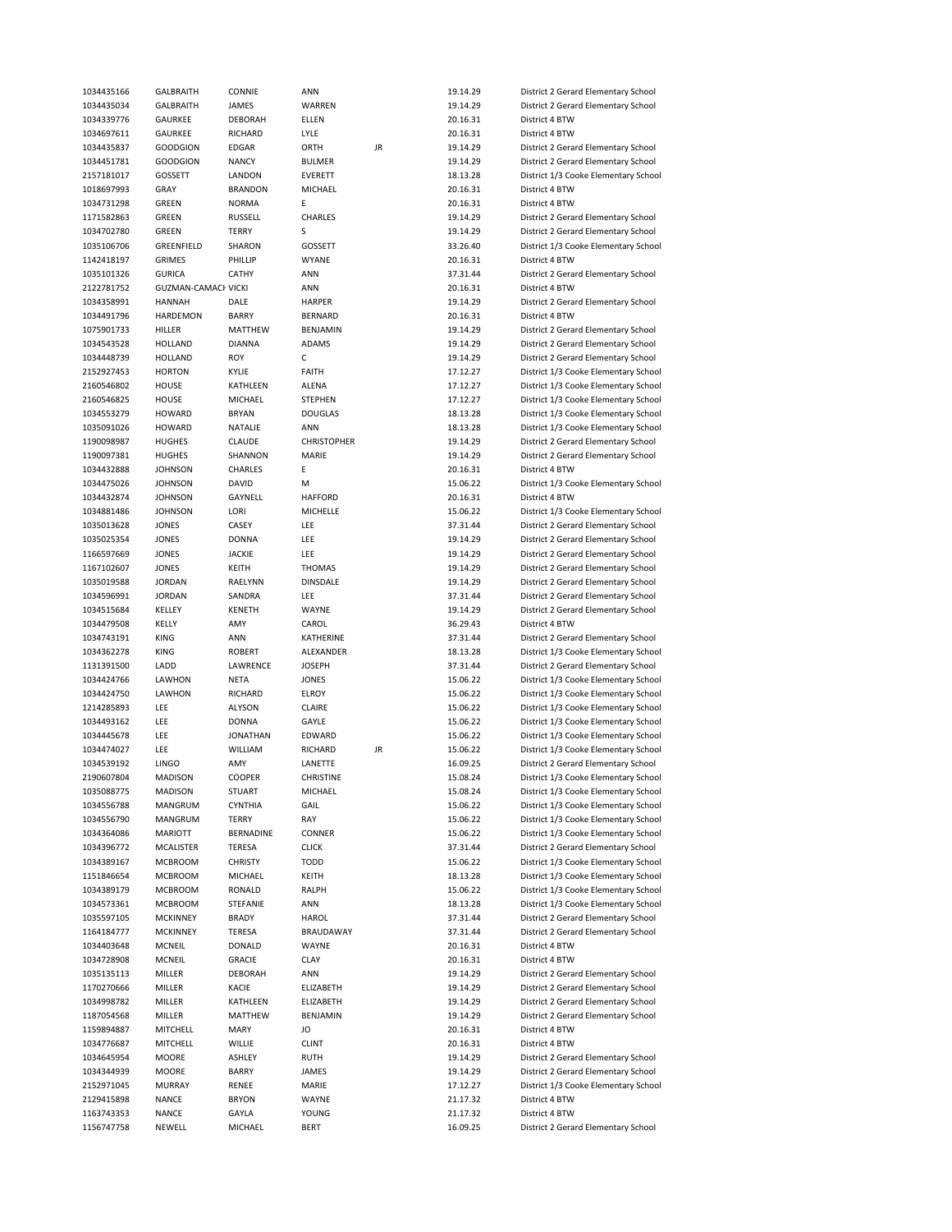| 1034435166 | GALBRAITH                  | CONNIE          | ANN                |    | 19.14.29 | District 2 Gerard Elementary School  |
|------------|----------------------------|-----------------|--------------------|----|----------|--------------------------------------|
| 1034435034 | <b>GALBRAITH</b>           | JAMES           | WARREN             |    | 19.14.29 | District 2 Gerard Elementary School  |
| 1034339776 | GAURKEE                    | <b>DEBORAH</b>  | ELLEN              |    | 20.16.31 | District 4 BTW                       |
| 1034697611 | GAURKEE                    | RICHARD         | LYLE               |    | 20.16.31 | District 4 BTW                       |
| 1034435837 | <b>GOODGION</b>            | EDGAR           | ORTH               | JR | 19.14.29 | District 2 Gerard Elementary School  |
|            |                            |                 |                    |    |          |                                      |
| 1034451781 | <b>GOODGION</b>            | <b>NANCY</b>    | <b>BULMER</b>      |    | 19.14.29 | District 2 Gerard Elementary School  |
| 2157181017 | GOSSETT                    | LANDON          | EVERETT            |    | 18.13.28 | District 1/3 Cooke Elementary School |
| 1018697993 | GRAY                       | <b>BRANDON</b>  | MICHAEL            |    | 20.16.31 | District 4 BTW                       |
| 1034731298 | GREEN                      | <b>NORMA</b>    | Ε                  |    | 20.16.31 | District 4 BTW                       |
| 1171582863 | GREEN                      | <b>RUSSELL</b>  | CHARLES            |    | 19.14.29 | District 2 Gerard Elementary School  |
| 1034702780 | GREEN                      | <b>TERRY</b>    | S                  |    | 19.14.29 | District 2 Gerard Elementary School  |
| 1035106706 | GREENFIELD                 | SHARON          | GOSSETT            |    | 33.26.40 | District 1/3 Cooke Elementary School |
| 1142418197 | <b>GRIMES</b>              | PHILLIP         | <b>WYANE</b>       |    | 20.16.31 | District 4 BTW                       |
|            |                            |                 |                    |    |          |                                      |
| 1035101326 | <b>GURICA</b>              | CATHY           | <b>ANN</b>         |    | 37.31.44 | District 2 Gerard Elementary School  |
| 2122781752 | <b>GUZMAN-CAMACI VICKI</b> |                 | ANN                |    | 20.16.31 | District 4 BTW                       |
| 1034358991 | <b>HANNAH</b>              | DALE            | HARPER             |    | 19.14.29 | District 2 Gerard Elementary School  |
| 1034491796 | HARDEMON                   | BARRY           | <b>BERNARD</b>     |    | 20.16.31 | District 4 BTW                       |
| 1075901733 | HILLER                     | MATTHEW         | BENJAMIN           |    | 19.14.29 | District 2 Gerard Elementary School  |
| 1034543528 | HOLLAND                    | <b>DIANNA</b>   | ADAMS              |    | 19.14.29 | District 2 Gerard Elementary School  |
| 1034448739 | <b>HOLLAND</b>             | ROY             | $\mathsf C$        |    | 19.14.29 | District 2 Gerard Elementary School  |
|            |                            |                 |                    |    |          |                                      |
| 2152927453 | <b>HORTON</b>              | KYLIE           | <b>FAITH</b>       |    | 17.12.27 | District 1/3 Cooke Elementary School |
| 2160546802 | HOUSE                      | KATHLEEN        | ALENA              |    | 17.12.27 | District 1/3 Cooke Elementary School |
| 2160546825 | HOUSE                      | MICHAEL         | STEPHEN            |    | 17.12.27 | District 1/3 Cooke Elementary School |
| 1034553279 | <b>HOWARD</b>              | <b>BRYAN</b>    | <b>DOUGLAS</b>     |    | 18.13.28 | District 1/3 Cooke Elementary School |
| 1035091026 | <b>HOWARD</b>              | NATALIE         | ANN                |    | 18.13.28 | District 1/3 Cooke Elementary School |
| 1190098987 | <b>HUGHES</b>              | <b>CLAUDE</b>   | <b>CHRISTOPHER</b> |    | 19.14.29 | District 2 Gerard Elementary School  |
| 1190097381 | <b>HUGHES</b>              | SHANNON         | MARIE              |    | 19.14.29 | District 2 Gerard Elementary School  |
|            |                            |                 |                    |    |          |                                      |
| 1034432888 | <b>JOHNSON</b>             | CHARLES         | Ε                  |    | 20.16.31 | District 4 BTW                       |
| 1034475026 | <b>JOHNSON</b>             | DAVID           | M                  |    | 15.06.22 | District 1/3 Cooke Elementary School |
| 1034432874 | <b>JOHNSON</b>             | GAYNELL         | <b>HAFFORD</b>     |    | 20.16.31 | District 4 BTW                       |
| 1034881486 | <b>JOHNSON</b>             | LORI            | MICHELLE           |    | 15.06.22 | District 1/3 Cooke Elementary School |
| 1035013628 | <b>JONES</b>               | CASEY           | <b>LEE</b>         |    | 37.31.44 | District 2 Gerard Elementary School  |
| 1035025354 | <b>JONES</b>               | <b>DONNA</b>    | <b>LEE</b>         |    | 19.14.29 | District 2 Gerard Elementary School  |
| 1166597669 | <b>JONES</b>               | <b>JACKIE</b>   | <b>LEE</b>         |    | 19.14.29 | District 2 Gerard Elementary School  |
|            |                            |                 |                    |    |          |                                      |
| 1167102607 | <b>JONES</b>               | KEITH           | <b>THOMAS</b>      |    | 19.14.29 | District 2 Gerard Elementary School  |
| 1035019588 | <b>JORDAN</b>              | RAELYNN         | <b>DINSDALE</b>    |    | 19.14.29 | District 2 Gerard Elementary School  |
| 1034596991 | <b>JORDAN</b>              | SANDRA          | <b>LEE</b>         |    | 37.31.44 | District 2 Gerard Elementary School  |
| 1034515684 | KELLEY                     | KENETH          | WAYNE              |    | 19.14.29 | District 2 Gerard Elementary School  |
| 1034479508 | KELLY                      | AMY             | CAROL              |    | 36.29.43 | District 4 BTW                       |
| 1034743191 | KING                       | ANN             | <b>KATHERINE</b>   |    | 37.31.44 | District 2 Gerard Elementary School  |
| 1034362278 | KING                       | <b>ROBERT</b>   | ALEXANDER          |    | 18.13.28 | District 1/3 Cooke Elementary School |
|            |                            |                 |                    |    |          |                                      |
| 1131391500 | LADD                       | LAWRENCE        | <b>JOSEPH</b>      |    | 37.31.44 | District 2 Gerard Elementary School  |
| 1034424766 | LAWHON                     | NETA            | <b>JONES</b>       |    | 15.06.22 | District 1/3 Cooke Elementary School |
| 1034424750 | LAWHON                     | RICHARD         | ELROY              |    | 15.06.22 | District 1/3 Cooke Elementary School |
| 1214285893 | LEE                        | <b>ALYSON</b>   | CLAIRE             |    | 15.06.22 | District 1/3 Cooke Elementary School |
| 1034493162 | LEE                        | <b>DONNA</b>    | GAYLE              |    | 15.06.22 | District 1/3 Cooke Elementary School |
| 1034445678 | LEE                        | <b>JONATHAN</b> | EDWARD             |    | 15.06.22 | District 1/3 Cooke Elementary School |
| 1034474027 | LEE                        | WILLIAM         | RICHARD            | JR | 15.06.22 | District 1/3 Cooke Elementary School |
|            |                            |                 |                    |    |          |                                      |
| 1034539192 | <b>LINGO</b>               | AMY             | LANETTE            |    | 16.09.25 | District 2 Gerard Elementary School  |
| 2190607804 | <b>MADISON</b>             | COOPER          | CHRISTINE          |    | 15.08.24 | District 1/3 Cooke Elementary School |
| 1035088775 | MADISON                    | STUART          | MICHAEL            |    | 15.08.24 | District 1/3 Cooke Elementary School |
| 1034556788 | MANGRUM                    | CYNTHIA         | GAIL               |    | 15.06.22 | District 1/3 Cooke Elementary School |
| 1034556790 | MANGRUM                    | <b>TERRY</b>    | RAY                |    | 15.06.22 | District 1/3 Cooke Elementary School |
| 1034364086 | <b>MARIOTT</b>             | BERNADINE       | CONNER             |    | 15.06.22 | District 1/3 Cooke Elementary School |
| 1034396772 | MCALISTER                  | TERESA          | <b>CLICK</b>       |    | 37.31.44 | District 2 Gerard Elementary School  |
|            |                            |                 |                    |    |          |                                      |
| 1034389167 | <b>MCBROOM</b>             | <b>CHRISTY</b>  | <b>TODD</b>        |    | 15.06.22 | District 1/3 Cooke Elementary School |
| 1151846654 | MCBROOM                    | MICHAEL         | KEITH              |    | 18.13.28 | District 1/3 Cooke Elementary School |
| 1034389179 | <b>MCBROOM</b>             | RONALD          | RALPH              |    | 15.06.22 | District 1/3 Cooke Elementary School |
| 1034573361 | <b>MCBROOM</b>             | STEFANIE        | ANN                |    | 18.13.28 | District 1/3 Cooke Elementary School |
| 1035597105 | <b>MCKINNEY</b>            | <b>BRADY</b>    | HAROL              |    | 37.31.44 | District 2 Gerard Elementary School  |
| 1164184777 | <b>MCKINNEY</b>            | TERESA          | BRAUDAWAY          |    | 37.31.44 | District 2 Gerard Elementary School  |
|            |                            |                 |                    |    |          |                                      |
| 1034403648 | MCNEIL                     | DONALD          | WAYNE              |    | 20.16.31 | District 4 BTW                       |
| 1034728908 | MCNEIL                     | <b>GRACIE</b>   | <b>CLAY</b>        |    | 20.16.31 | District 4 BTW                       |
| 1035135113 | MILLER                     | DEBORAH         | ANN                |    | 19.14.29 | District 2 Gerard Elementary School  |
| 1170270666 | MILLER                     | KACIE           | ELIZABETH          |    | 19.14.29 | District 2 Gerard Elementary School  |
| 1034998782 | MILLER                     | KATHLEEN        | ELIZABETH          |    | 19.14.29 | District 2 Gerard Elementary School  |
| 1187054568 | MILLER                     | MATTHEW         | BENJAMIN           |    | 19.14.29 | District 2 Gerard Elementary School  |
| 1159894887 | MITCHELL                   | MARY            | JO                 |    | 20.16.31 | District 4 BTW                       |
|            |                            |                 |                    |    |          |                                      |
| 1034776687 | MITCHELL                   | WILLIE          | <b>CLINT</b>       |    | 20.16.31 | District 4 BTW                       |
| 1034645954 | <b>MOORE</b>               | ASHLEY          | <b>RUTH</b>        |    | 19.14.29 | District 2 Gerard Elementary School  |
| 1034344939 | MOORE                      | BARRY           | JAMES              |    | 19.14.29 | District 2 Gerard Elementary School  |
| 2152971045 | <b>MURRAY</b>              | RENEE           | MARIE              |    | 17.12.27 | District 1/3 Cooke Elementary School |
| 2129415898 | NANCE                      | <b>BRYON</b>    | WAYNE              |    | 21.17.32 | District 4 BTW                       |
| 1163743353 | NANCE                      | GAYLA           | YOUNG              |    | 21.17.32 | District 4 BTW                       |
| 1156747758 | NEWELL                     | MICHAEL         | <b>BERT</b>        |    | 16.09.25 | District 2 Gerard Elementary School  |
|            |                            |                 |                    |    |          |                                      |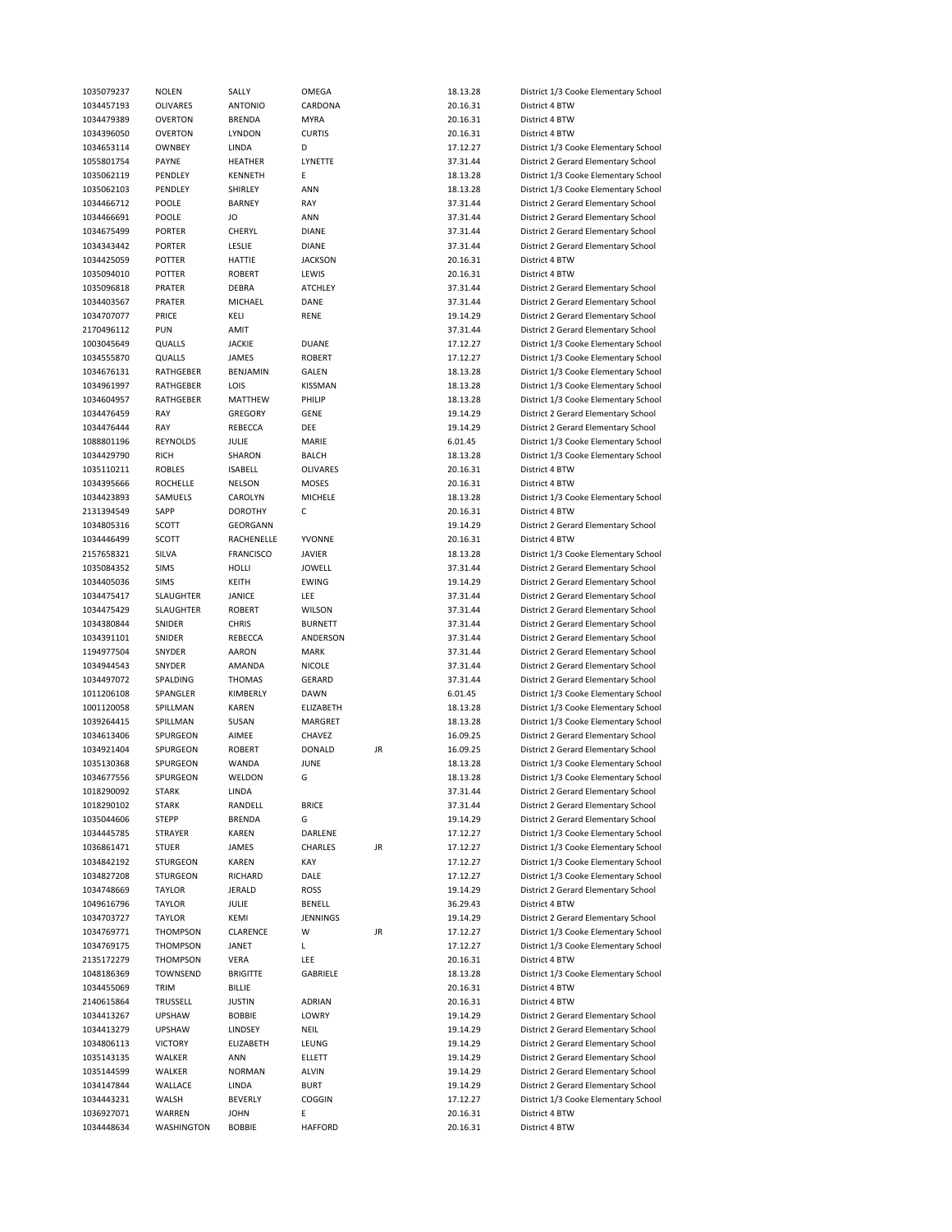| 1035079237               | NOLEN                | SALLY                        | OMEGA               |    | 18.13.28             | District 1/3 Cooke Elementary School |
|--------------------------|----------------------|------------------------------|---------------------|----|----------------------|--------------------------------------|
| 1034457193               | OLIVARES             | <b>ANTONIO</b>               | CARDONA             |    | 20.16.31             | District 4 BTW                       |
| 1034479389               | OVERTON              | <b>BRENDA</b>                | <b>MYRA</b>         |    | 20.16.31             | District 4 BTW                       |
| 1034396050               | OVERTON              | LYNDON                       | <b>CURTIS</b>       |    | 20.16.31             | District 4 BTW                       |
| 1034653114               | OWNBEY               | LINDA                        | D                   |    | 17.12.27             | District 1/3 Cooke Elementary School |
|                          |                      |                              |                     |    |                      |                                      |
| 1055801754               | PAYNE                | HEATHER                      | LYNETTE             |    | 37.31.44             | District 2 Gerard Elementary School  |
| 1035062119               | PENDLEY              | KENNETH                      | E                   |    | 18.13.28             | District 1/3 Cooke Elementary School |
| 1035062103               | PENDLEY              | SHIRLEY                      | ANN                 |    | 18.13.28             | District 1/3 Cooke Elementary School |
| 1034466712               | POOLE                | <b>BARNEY</b>                | RAY                 |    | 37.31.44             | District 2 Gerard Elementary School  |
| 1034466691               | POOLE                | JO                           | ANN                 |    | 37.31.44             | District 2 Gerard Elementary School  |
| 1034675499               | <b>PORTER</b>        | CHERYL                       | DIANE               |    | 37.31.44             | District 2 Gerard Elementary School  |
|                          |                      |                              |                     |    |                      |                                      |
| 1034343442               | <b>PORTER</b>        | LESLIE                       | <b>DIANE</b>        |    | 37.31.44             | District 2 Gerard Elementary School  |
| 1034425059               | POTTER               | HATTIE                       | <b>JACKSON</b>      |    | 20.16.31             | District 4 BTW                       |
| 1035094010               | POTTER               | <b>ROBERT</b>                | LEWIS               |    | 20.16.31             | District 4 BTW                       |
| 1035096818               | PRATER               | <b>DEBRA</b>                 | ATCHLEY             |    | 37.31.44             | District 2 Gerard Elementary School  |
| 1034403567               | PRATER               | MICHAEL                      | DANE                |    | 37.31.44             | District 2 Gerard Elementary School  |
| 1034707077               | PRICE                | KELI                         | RENE                |    | 19.14.29             | District 2 Gerard Elementary School  |
|                          |                      |                              |                     |    |                      |                                      |
| 2170496112               | <b>PUN</b>           | AMIT                         |                     |    | 37.31.44             | District 2 Gerard Elementary School  |
| 1003045649               | QUALLS               | <b>JACKIE</b>                | <b>DUANE</b>        |    | 17.12.27             | District 1/3 Cooke Elementary School |
| 1034555870               | QUALLS               | JAMES                        | <b>ROBERT</b>       |    | 17.12.27             | District 1/3 Cooke Elementary School |
| 1034676131               | RATHGEBER            | BENJAMIN                     | GALEN               |    | 18.13.28             | District 1/3 Cooke Elementary School |
| 1034961997               | RATHGEBER            | LOIS                         | KISSMAN             |    | 18.13.28             | District 1/3 Cooke Elementary School |
|                          | RATHGEBER            |                              |                     |    |                      |                                      |
| 1034604957               |                      | <b>MATTHEW</b>               | PHILIP              |    | 18.13.28             | District 1/3 Cooke Elementary School |
| 1034476459               | RAY                  | <b>GREGORY</b>               | GENE                |    | 19.14.29             | District 2 Gerard Elementary School  |
| 1034476444               | RAY                  | REBECCA                      | DEE                 |    | 19.14.29             | District 2 Gerard Elementary School  |
| 1088801196               | REYNOLDS             | JULIE                        | MARIE               |    | 6.01.45              | District 1/3 Cooke Elementary School |
| 1034429790               | <b>RICH</b>          | SHARON                       | <b>BALCH</b>        |    | 18.13.28             | District 1/3 Cooke Elementary School |
| 1035110211               | <b>ROBLES</b>        | <b>ISABELL</b>               | OLIVARES            |    | 20.16.31             | District 4 BTW                       |
|                          |                      |                              |                     |    |                      |                                      |
| 1034395666               | <b>ROCHELLE</b>      | <b>NELSON</b>                | MOSES               |    | 20.16.31             | District 4 BTW                       |
| 1034423893               | SAMUELS              | CAROLYN                      | <b>MICHELE</b>      |    | 18.13.28             | District 1/3 Cooke Elementary School |
| 2131394549               | SAPP                 | <b>DOROTHY</b>               | с                   |    | 20.16.31             | District 4 BTW                       |
| 1034805316               | SCOTT                | GEORGANN                     |                     |    | 19.14.29             | District 2 Gerard Elementary School  |
| 1034446499               | SCOTT                | RACHENELLE                   | YVONNE              |    | 20.16.31             | District 4 BTW                       |
| 2157658321               | SILVA                | FRANCISCO                    | JAVIER              |    | 18.13.28             | District 1/3 Cooke Elementary School |
|                          |                      |                              |                     |    |                      |                                      |
| 1035084352               | <b>SIMS</b>          | HOLLI                        | JOWELL              |    | 37.31.44             | District 2 Gerard Elementary School  |
| 1034405036               | <b>SIMS</b>          | KEITH                        | EWING               |    | 19.14.29             | District 2 Gerard Elementary School  |
| 1034475417               | SLAUGHTER            | JANICE                       | LEE                 |    | 37.31.44             | District 2 Gerard Elementary School  |
| 1034475429               | SLAUGHTER            | <b>ROBERT</b>                | <b>WILSON</b>       |    | 37.31.44             | District 2 Gerard Elementary School  |
| 1034380844               | SNIDER               | <b>CHRIS</b>                 | <b>BURNETT</b>      |    | 37.31.44             | District 2 Gerard Elementary School  |
| 1034391101               | SNIDER               | REBECCA                      | ANDERSON            |    | 37.31.44             | District 2 Gerard Elementary School  |
|                          |                      |                              |                     |    |                      |                                      |
| 1194977504               | SNYDER               | AARON                        | <b>MARK</b>         |    | 37.31.44             | District 2 Gerard Elementary School  |
| 1034944543               | SNYDER               | AMANDA                       | <b>NICOLE</b>       |    | 37.31.44             | District 2 Gerard Elementary School  |
| 1034497072               | SPALDING             | <b>THOMAS</b>                | GERARD              |    | 37.31.44             | District 2 Gerard Elementary School  |
| 1011206108               | SPANGLER             | KIMBERLY                     | DAWN                |    | 6.01.45              | District 1/3 Cooke Elementary School |
| 1001120058               | SPILLMAN             | <b>KAREN</b>                 | ELIZABETH           |    | 18.13.28             | District 1/3 Cooke Elementary School |
|                          | SPILLMAN             | SUSAN                        | MARGRET             |    |                      |                                      |
| 1039264415               |                      |                              |                     |    | 18.13.28             | District 1/3 Cooke Elementary School |
| 1034613406               | SPURGEON             | AIMEE                        | CHAVEZ              |    | 16.09.25             | District 2 Gerard Elementary School  |
| 1034921404               | SPURGEON             | <b>ROBERT</b>                | <b>DONALD</b>       | JR | 16.09.25             | District 2 Gerard Elementary School  |
| 1035130368               | SPURGEON             | WANDA                        | JUNE                |    | 18.13.28             | District 1/3 Cooke Elementary School |
| 1034677556               | SPURGEON             | WELDON                       | G                   |    | 18.13.28             | District 1/3 Cooke Elementary School |
| 1018290092               | STARK                | LINDA                        |                     |    | 37.31.44             | District 2 Gerard Elementary School  |
|                          |                      |                              |                     |    |                      |                                      |
| 1018290102               | <b>STARK</b>         | RANDELL                      | <b>BRICE</b>        |    | 37.31.44             | District 2 Gerard Elementary School  |
| 1035044606               | <b>STEPP</b>         | <b>BRENDA</b>                | G                   |    | 19.14.29             | District 2 Gerard Elementary School  |
| 1034445785               | STRAYER              | KAREN                        | DARLENE             |    | 17.12.27             | District 1/3 Cooke Elementary School |
| 1036861471               | <b>STUER</b>         | JAMES                        | CHARLES             | JR | 17.12.27             | District 1/3 Cooke Elementary School |
| 1034842192               | STURGEON             | KAREN                        | KAY                 |    | 17.12.27             | District 1/3 Cooke Elementary School |
| 1034827208               | STURGEON             | RICHARD                      | DALE                |    | 17.12.27             | District 1/3 Cooke Elementary School |
|                          |                      |                              |                     |    |                      |                                      |
| 1034748669               | <b>TAYLOR</b>        | JERALD                       | ROSS                |    | 19.14.29             | District 2 Gerard Elementary School  |
| 1049616796               | TAYLOR               | JULIE                        | BENELL              |    | 36.29.43             | District 4 BTW                       |
| 1034703727               | TAYLOR               | KEMI                         | JENNINGS            |    | 19.14.29             | District 2 Gerard Elementary School  |
| 1034769771               | THOMPSON             | CLARENCE                     | W                   | JR | 17.12.27             | District 1/3 Cooke Elementary School |
| 1034769175               | THOMPSON             | JANET                        | L                   |    | 17.12.27             | District 1/3 Cooke Elementary School |
| 2135172279               | THOMPSON             | VERA                         | LEE                 |    | 20.16.31             | District 4 BTW                       |
|                          |                      |                              |                     |    |                      |                                      |
| 1048186369               | TOWNSEND             | <b>BRIGITTE</b>              | GABRIELE            |    | 18.13.28             | District 1/3 Cooke Elementary School |
| 1034455069               | TRIM                 | BILLIE                       |                     |    | 20.16.31             | District 4 BTW                       |
| 2140615864               | TRUSSELL             | <b>JUSTIN</b>                | ADRIAN              |    | 20.16.31             | District 4 BTW                       |
| 1034413267               | <b>UPSHAW</b>        | <b>BOBBIE</b>                | LOWRY               |    | 19.14.29             | District 2 Gerard Elementary School  |
| 1034413279               | <b>UPSHAW</b>        | LINDSEY                      | NEIL                |    | 19.14.29             | District 2 Gerard Elementary School  |
| 1034806113               | <b>VICTORY</b>       | ELIZABETH                    | LEUNG               |    | 19.14.29             | District 2 Gerard Elementary School  |
|                          |                      |                              |                     |    |                      |                                      |
| 1035143135               | WALKER               | ANN                          | ELLETT              |    | 19.14.29             | District 2 Gerard Elementary School  |
| 1035144599               | WALKER               | <b>NORMAN</b>                | ALVIN               |    | 19.14.29             | District 2 Gerard Elementary School  |
| 1034147844               | WALLACE              | LINDA                        | BURT                |    | 19.14.29             | District 2 Gerard Elementary School  |
| 1034443231               | WALSH                | <b>BEVERLY</b>               | COGGIN              |    | 17.12.27             | District 1/3 Cooke Elementary School |
|                          |                      |                              |                     |    |                      |                                      |
|                          |                      |                              |                     |    |                      |                                      |
| 1036927071<br>1034448634 | WARREN<br>WASHINGTON | <b>JOHN</b><br><b>BOBBIE</b> | Ε<br><b>HAFFORD</b> |    | 20.16.31<br>20.16.31 | District 4 BTW<br>District 4 BTW     |